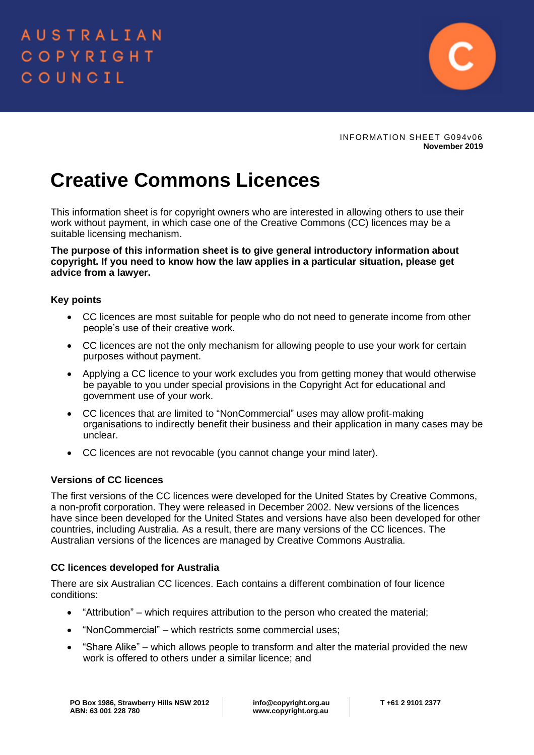

INFORMATION SHEET G094v06 **November 2019**

# **Creative Commons Licences**

This information sheet is for copyright owners who are interested in allowing others to use their work without payment, in which case one of the Creative Commons (CC) licences may be a suitable licensing mechanism.

## **The purpose of this information sheet is to give general introductory information about copyright. If you need to know how the law applies in a particular situation, please get advice from a lawyer.**

## **Key points**

- CC licences are most suitable for people who do not need to generate income from other people's use of their creative work.
- CC licences are not the only mechanism for allowing people to use your work for certain purposes without payment.
- Applying a CC licence to your work excludes you from getting money that would otherwise be payable to you under special provisions in the Copyright Act for educational and government use of your work.
- CC licences that are limited to "NonCommercial" uses may allow profit-making organisations to indirectly benefit their business and their application in many cases may be unclear.
- CC licences are not revocable (you cannot change your mind later).

# **Versions of CC licences**

The first versions of the CC licences were developed for the United States by Creative Commons, a non-profit corporation. They were released in December 2002. New versions of the licences have since been developed for the United States and versions have also been developed for other countries, including Australia. As a result, there are many versions of the CC licences. The Australian versions of the licences are managed by Creative Commons Australia.

# **CC licences developed for Australia**

There are six Australian CC licences. Each contains a different combination of four licence conditions:

- "Attribution" which requires attribution to the person who created the material;
- "NonCommercial" which restricts some commercial uses;
- "Share Alike" which allows people to transform and alter the material provided the new work is offered to others under a similar licence; and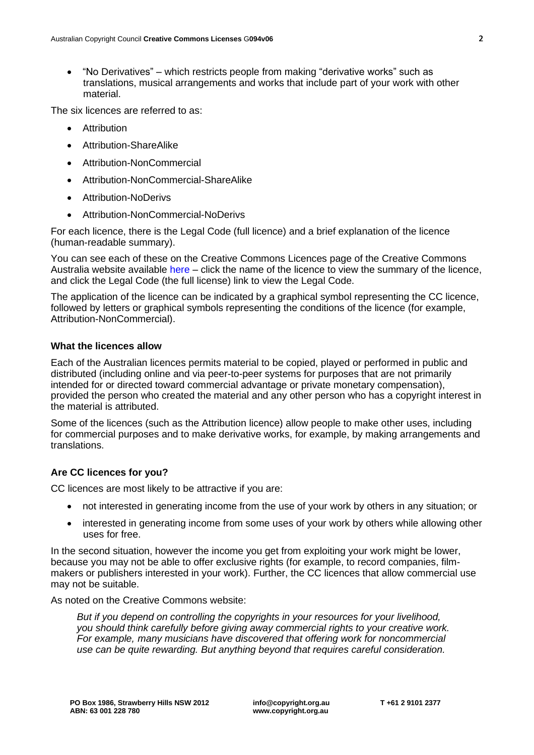• "No Derivatives" – which restricts people from making "derivative works" such as translations, musical arrangements and works that include part of your work with other material.

The six licences are referred to as:

- Attribution
- Attribution-ShareAlike
- Attribution-NonCommercial
- Attribution-NonCommercial-ShareAlike
- Attribution-NoDerivs
- Attribution-NonCommercial-NoDerivs

For each licence, there is the Legal Code (full licence) and a brief explanation of the licence (human-readable summary).

You can see each of these on the Creative Commons Licences page of the Creative Commons Australia website available [here](https://creativecommons.org.au/learn/licences/) – click the name of the licence to view the summary of the licence, and click the Legal Code (the full license) link to view the Legal Code.

The application of the licence can be indicated by a graphical symbol representing the CC licence, followed by letters or graphical symbols representing the conditions of the licence (for example, Attribution-NonCommercial).

## **What the licences allow**

Each of the Australian licences permits material to be copied, played or performed in public and distributed (including online and via peer-to-peer systems for purposes that are not primarily intended for or directed toward commercial advantage or private monetary compensation), provided the person who created the material and any other person who has a copyright interest in the material is attributed.

Some of the licences (such as the Attribution licence) allow people to make other uses, including for commercial purposes and to make derivative works, for example, by making arrangements and translations.

# **Are CC licences for you?**

CC licences are most likely to be attractive if you are:

- not interested in generating income from the use of your work by others in any situation; or
- interested in generating income from some uses of your work by others while allowing other uses for free.

In the second situation, however the income you get from exploiting your work might be lower, because you may not be able to offer exclusive rights (for example, to record companies, filmmakers or publishers interested in your work). Further, the CC licences that allow commercial use may not be suitable.

As noted on the Creative Commons website:

*But if you depend on controlling the copyrights in your resources for your livelihood, you should think carefully before giving away commercial rights to your creative work. For example, many musicians have discovered that offering work for noncommercial use can be quite rewarding. But anything beyond that requires careful consideration.*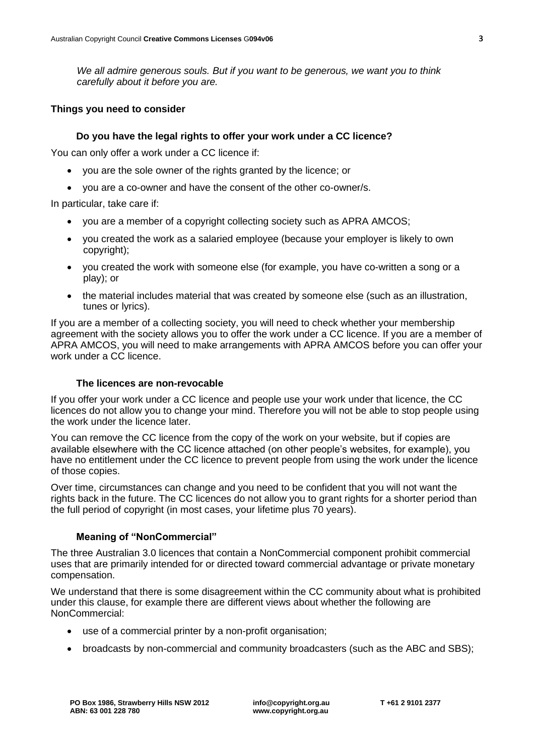*We all admire generous souls. But if you want to be generous, we want you to think carefully about it before you are.*

#### **Things you need to consider**

#### **Do you have the legal rights to offer your work under a CC licence?**

You can only offer a work under a CC licence if:

- you are the sole owner of the rights granted by the licence; or
- you are a co-owner and have the consent of the other co-owner/s.

In particular, take care if:

- you are a member of a copyright collecting society such as APRA AMCOS;
- you created the work as a salaried employee (because your employer is likely to own copyright);
- you created the work with someone else (for example, you have co-written a song or a play); or
- the material includes material that was created by someone else (such as an illustration, tunes or lyrics).

If you are a member of a collecting society, you will need to check whether your membership agreement with the society allows you to offer the work under a CC licence. If you are a member of APRA AMCOS, you will need to make arrangements with APRA AMCOS before you can offer your work under a CC licence.

#### **The licences are non-revocable**

If you offer your work under a CC licence and people use your work under that licence, the CC licences do not allow you to change your mind. Therefore you will not be able to stop people using the work under the licence later.

You can remove the CC licence from the copy of the work on your website, but if copies are available elsewhere with the CC licence attached (on other people's websites, for example), you have no entitlement under the CC licence to prevent people from using the work under the licence of those copies.

Over time, circumstances can change and you need to be confident that you will not want the rights back in the future. The CC licences do not allow you to grant rights for a shorter period than the full period of copyright (in most cases, your lifetime plus 70 years).

#### **Meaning of "NonCommercial"**

The three Australian 3.0 licences that contain a NonCommercial component prohibit commercial uses that are primarily intended for or directed toward commercial advantage or private monetary compensation.

We understand that there is some disagreement within the CC community about what is prohibited under this clause, for example there are different views about whether the following are NonCommercial:

- use of a commercial printer by a non-profit organisation;
- broadcasts by non-commercial and community broadcasters (such as the ABC and SBS);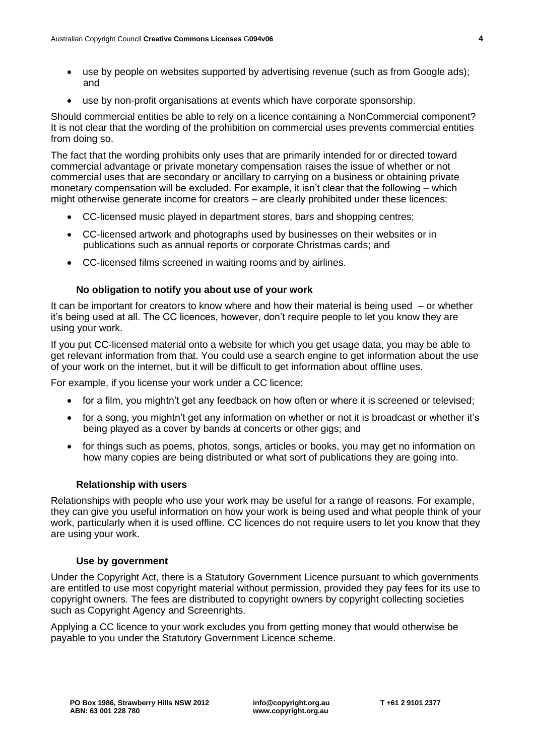- use by people on websites supported by advertising revenue (such as from Google ads); and
- use by non-profit organisations at events which have corporate sponsorship.

Should commercial entities be able to rely on a licence containing a NonCommercial component? It is not clear that the wording of the prohibition on commercial uses prevents commercial entities from doing so.

The fact that the wording prohibits only uses that are primarily intended for or directed toward commercial advantage or private monetary compensation raises the issue of whether or not commercial uses that are secondary or ancillary to carrying on a business or obtaining private monetary compensation will be excluded. For example, it isn't clear that the following – which might otherwise generate income for creators – are clearly prohibited under these licences:

- CC-licensed music played in department stores, bars and shopping centres;
- CC-licensed artwork and photographs used by businesses on their websites or in publications such as annual reports or corporate Christmas cards; and
- CC-licensed films screened in waiting rooms and by airlines.

# **No obligation to notify you about use of your work**

It can be important for creators to know where and how their material is being used – or whether it's being used at all. The CC licences, however, don't require people to let you know they are using your work.

If you put CC-licensed material onto a website for which you get usage data, you may be able to get relevant information from that. You could use a search engine to get information about the use of your work on the internet, but it will be difficult to get information about offline uses.

For example, if you license your work under a CC licence:

- for a film, you mightn't get any feedback on how often or where it is screened or televised;
- for a song, you mightn't get any information on whether or not it is broadcast or whether it's being played as a cover by bands at concerts or other gigs; and
- for things such as poems, photos, songs, articles or books, you may get no information on how many copies are being distributed or what sort of publications they are going into.

#### **Relationship with users**

Relationships with people who use your work may be useful for a range of reasons. For example, they can give you useful information on how your work is being used and what people think of your work, particularly when it is used offline. CC licences do not require users to let you know that they are using your work.

#### **Use by government**

Under the Copyright Act, there is a Statutory Government Licence pursuant to which governments are entitled to use most copyright material without permission, provided they pay fees for its use to copyright owners. The fees are distributed to copyright owners by copyright collecting societies such as Copyright Agency and Screenrights.

Applying a CC licence to your work excludes you from getting money that would otherwise be payable to you under the Statutory Government Licence scheme.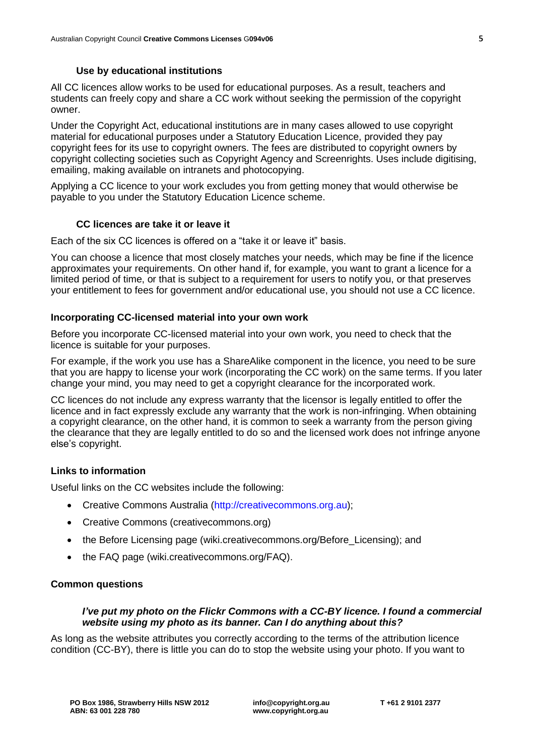## **Use by educational institutions**

All CC licences allow works to be used for educational purposes. As a result, teachers and students can freely copy and share a CC work without seeking the permission of the copyright owner.

Under the Copyright Act, educational institutions are in many cases allowed to use copyright material for educational purposes under a Statutory Education Licence, provided they pay copyright fees for its use to copyright owners. The fees are distributed to copyright owners by copyright collecting societies such as Copyright Agency and Screenrights. Uses include digitising, emailing, making available on intranets and photocopying.

Applying a CC licence to your work excludes you from getting money that would otherwise be payable to you under the Statutory Education Licence scheme.

## **CC licences are take it or leave it**

Each of the six CC licences is offered on a "take it or leave it" basis.

You can choose a licence that most closely matches your needs, which may be fine if the licence approximates your requirements. On other hand if, for example, you want to grant a licence for a limited period of time, or that is subject to a requirement for users to notify you, or that preserves your entitlement to fees for government and/or educational use, you should not use a CC licence.

## **Incorporating CC-licensed material into your own work**

Before you incorporate CC-licensed material into your own work, you need to check that the licence is suitable for your purposes.

For example, if the work you use has a ShareAlike component in the licence, you need to be sure that you are happy to license your work (incorporating the CC work) on the same terms. If you later change your mind, you may need to get a copyright clearance for the incorporated work.

CC licences do not include any express warranty that the licensor is legally entitled to offer the licence and in fact expressly exclude any warranty that the work is non-infringing. When obtaining a copyright clearance, on the other hand, it is common to seek a warranty from the person giving the clearance that they are legally entitled to do so and the licensed work does not infringe anyone else's copyright.

# **Links to information**

Useful links on the CC websites include the following:

- Creative Commons Australia [\(http://creativecommons.org.au\)](http://creativecommons.org.au/);
- Creative Commons (creativecommons.org)
- the Before Licensing page (wiki.creativecommons.org/Before Licensing); and
- the FAQ page (wiki.creativecommons.org/FAQ).

## **Common questions**

## *I've put my photo on the Flickr Commons with a CC-BY licence. I found a commercial website using my photo as its banner. Can I do anything about this?*

As long as the website attributes you correctly according to the terms of the attribution licence condition (CC-BY), there is little you can do to stop the website using your photo. If you want to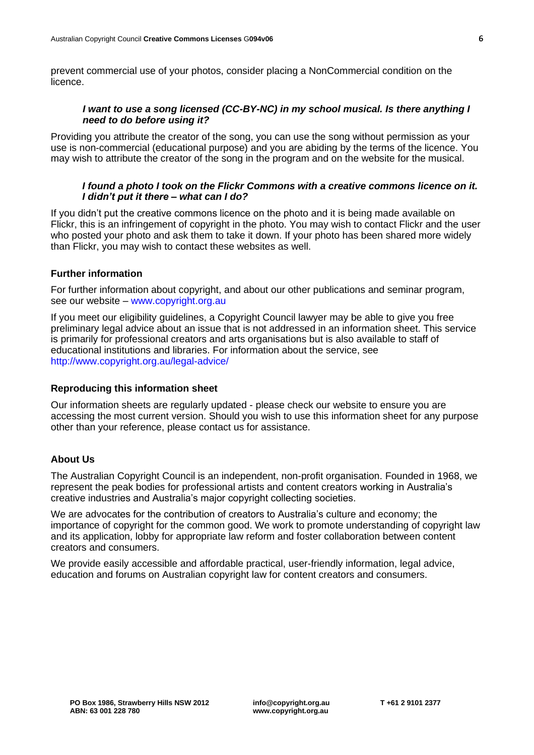prevent commercial use of your photos, consider placing a NonCommercial condition on the licence.

## *I want to use a song licensed (CC-BY-NC) in my school musical. Is there anything I need to do before using it?*

Providing you attribute the creator of the song, you can use the song without permission as your use is non-commercial (educational purpose) and you are abiding by the terms of the licence. You may wish to attribute the creator of the song in the program and on the website for the musical.

#### *I found a photo I took on the Flickr Commons with a creative commons licence on it. I didn't put it there – what can I do?*

If you didn't put the creative commons licence on the photo and it is being made available on Flickr, this is an infringement of copyright in the photo. You may wish to contact Flickr and the user who posted your photo and ask them to take it down. If your photo has been shared more widely than Flickr, you may wish to contact these websites as well.

## **Further information**

For further information about copyright, and about our other publications and seminar program, see our website – [www.copyright.org.au](http://www.copyright.org.au/)

If you meet our eligibility guidelines, a Copyright Council lawyer may be able to give you free preliminary legal advice about an issue that is not addressed in an information sheet. This service is primarily for professional creators and arts organisations but is also available to staff of educational institutions and libraries. For information about the service, see <http://www.copyright.org.au/legal-advice/>

## **Reproducing this information sheet**

Our information sheets are regularly updated - please check our website to ensure you are accessing the most current version. Should you wish to use this information sheet for any purpose other than your reference, please contact us for assistance.

## **About Us**

The Australian Copyright Council is an independent, non-profit organisation. Founded in 1968, we represent the peak bodies for professional artists and content creators working in Australia's creative industries and Australia's major copyright collecting societies.

We are advocates for the contribution of creators to Australia's culture and economy; the importance of copyright for the common good. We work to promote understanding of copyright law and its application, lobby for appropriate law reform and foster collaboration between content creators and consumers.

We provide easily accessible and affordable practical, user-friendly information, legal advice, education and forums on Australian copyright law for content creators and consumers.